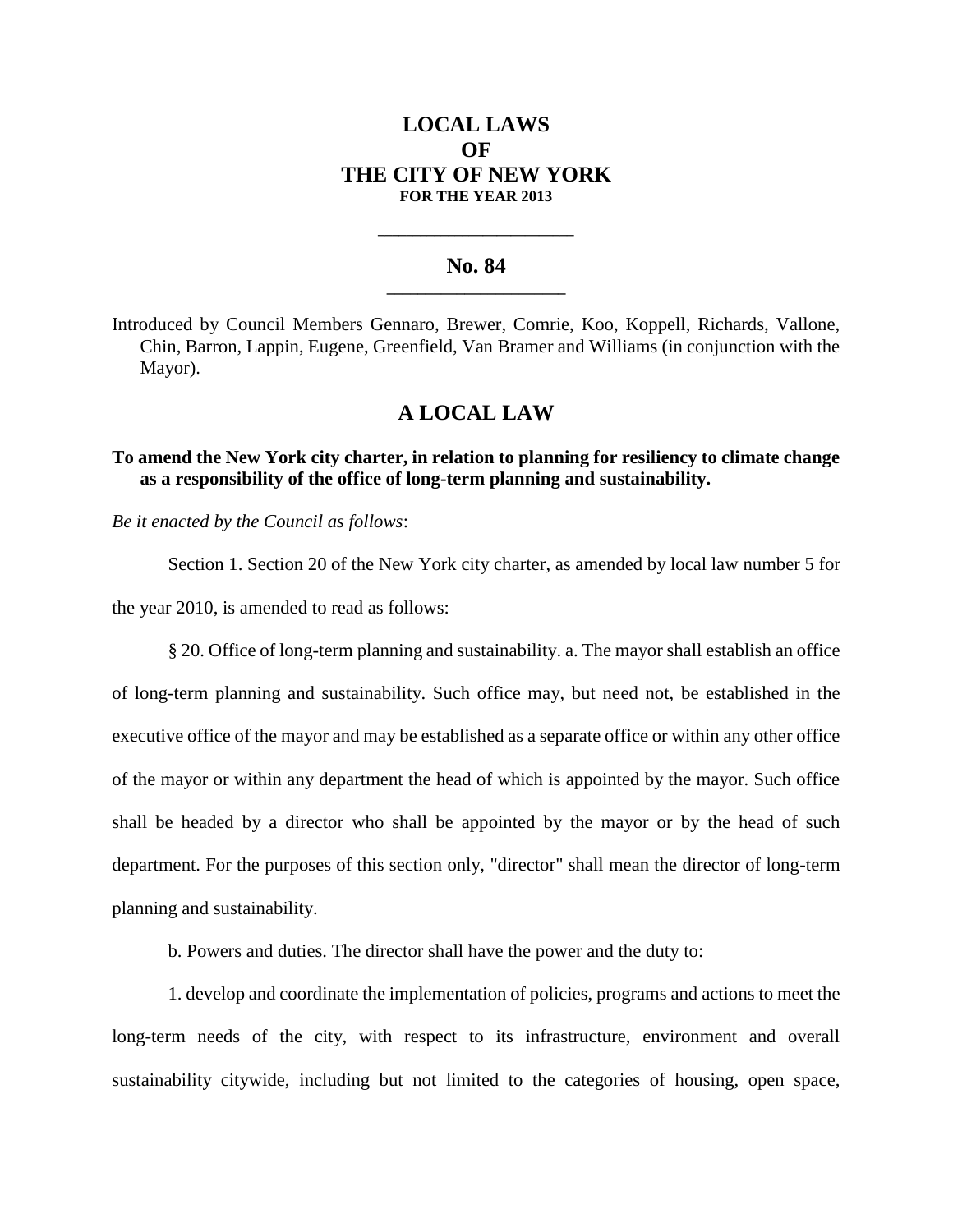# **LOCAL LAWS OF THE CITY OF NEW YORK FOR THE YEAR 2013**

### **No. 84 \_\_\_\_\_\_\_\_\_\_\_\_\_\_\_\_\_\_\_\_\_\_\_**

**\_\_\_\_\_\_\_\_\_\_\_\_\_\_\_\_\_\_\_\_\_\_\_\_\_\_\_\_**

Introduced by Council Members Gennaro, Brewer, Comrie, Koo, Koppell, Richards, Vallone, Chin, Barron, Lappin, Eugene, Greenfield, Van Bramer and Williams (in conjunction with the Mayor).

## **A LOCAL LAW**

### **To amend the New York city charter, in relation to planning for resiliency to climate change as a responsibility of the office of long-term planning and sustainability.**

*Be it enacted by the Council as follows*:

Section 1. Section 20 of the New York city charter, as amended by local law number 5 for the year 2010, is amended to read as follows:

§ 20. Office of long-term planning and sustainability. a. The mayor shall establish an office of long-term planning and sustainability. Such office may, but need not, be established in the executive office of the mayor and may be established as a separate office or within any other office of the mayor or within any department the head of which is appointed by the mayor. Such office shall be headed by a director who shall be appointed by the mayor or by the head of such department. For the purposes of this section only, "director" shall mean the director of long-term planning and sustainability.

b. Powers and duties. The director shall have the power and the duty to:

1. develop and coordinate the implementation of policies, programs and actions to meet the long-term needs of the city, with respect to its infrastructure, environment and overall sustainability citywide, including but not limited to the categories of housing, open space,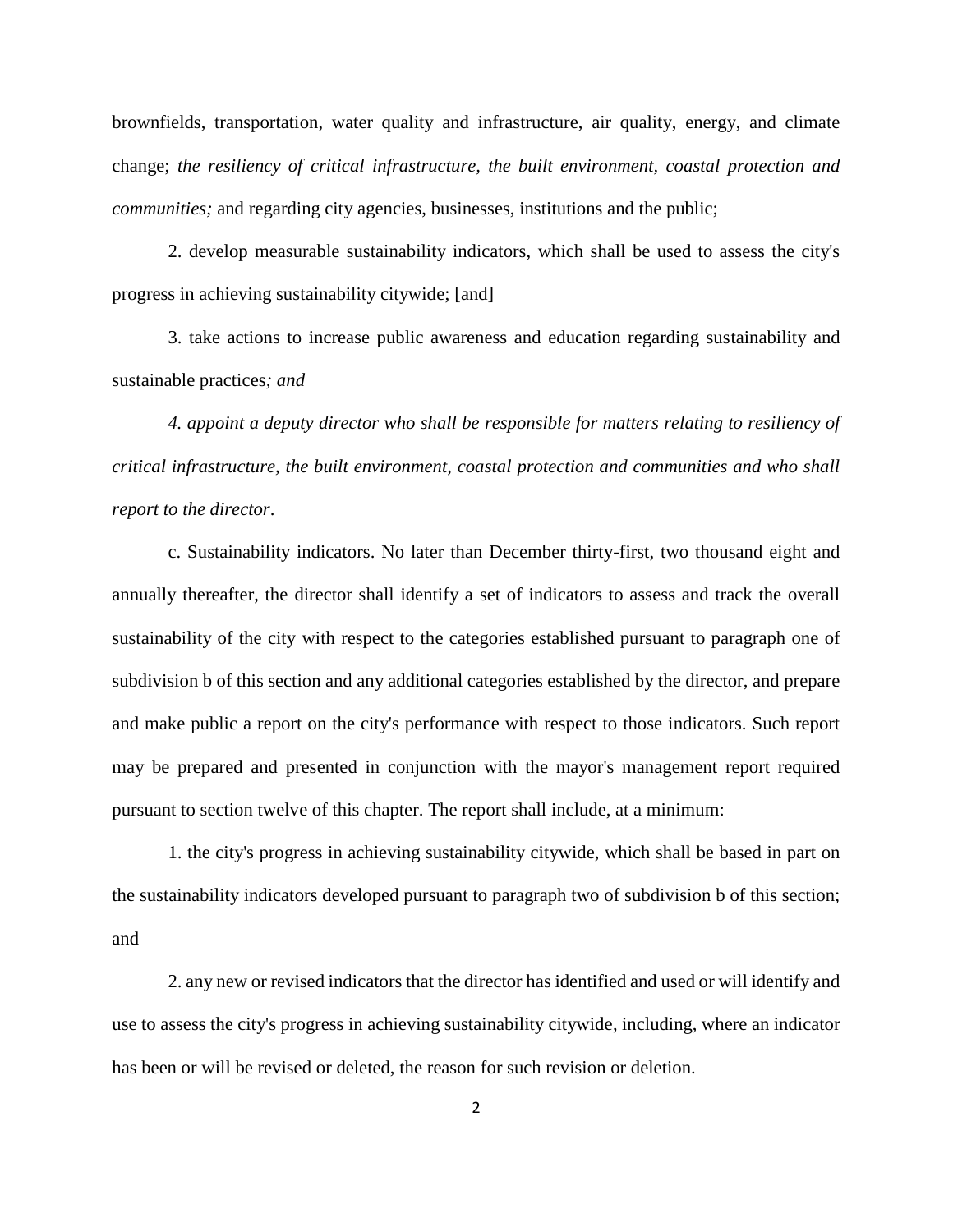brownfields, transportation, water quality and infrastructure, air quality, energy, and climate change; *the resiliency of critical infrastructure, the built environment, coastal protection and communities;* and regarding city agencies, businesses, institutions and the public;

2. develop measurable sustainability indicators, which shall be used to assess the city's progress in achieving sustainability citywide; [and]

3. take actions to increase public awareness and education regarding sustainability and sustainable practices*; and*

*4. appoint a deputy director who shall be responsible for matters relating to resiliency of critical infrastructure, the built environment, coastal protection and communities and who shall report to the director*.

c. Sustainability indicators. No later than December thirty-first, two thousand eight and annually thereafter, the director shall identify a set of indicators to assess and track the overall sustainability of the city with respect to the categories established pursuant to paragraph one of subdivision b of this section and any additional categories established by the director, and prepare and make public a report on the city's performance with respect to those indicators. Such report may be prepared and presented in conjunction with the mayor's management report required pursuant to section twelve of this chapter. The report shall include, at a minimum:

1. the city's progress in achieving sustainability citywide, which shall be based in part on the sustainability indicators developed pursuant to paragraph two of subdivision b of this section; and

2. any new or revised indicators that the director has identified and used or will identify and use to assess the city's progress in achieving sustainability citywide, including, where an indicator has been or will be revised or deleted, the reason for such revision or deletion.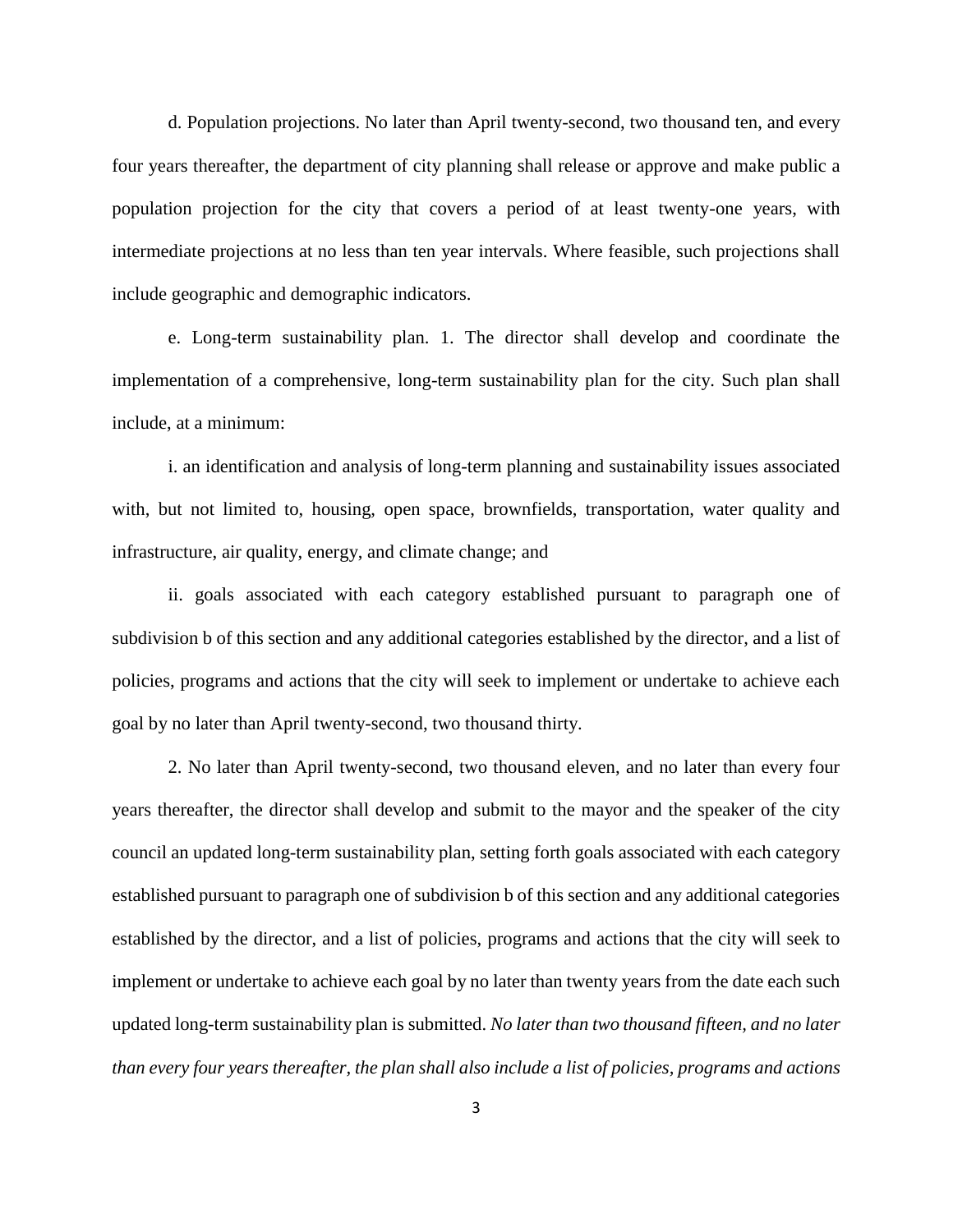d. Population projections. No later than April twenty-second, two thousand ten, and every four years thereafter, the department of city planning shall release or approve and make public a population projection for the city that covers a period of at least twenty-one years, with intermediate projections at no less than ten year intervals. Where feasible, such projections shall include geographic and demographic indicators.

e. Long-term sustainability plan. 1. The director shall develop and coordinate the implementation of a comprehensive, long-term sustainability plan for the city. Such plan shall include, at a minimum:

i. an identification and analysis of long-term planning and sustainability issues associated with, but not limited to, housing, open space, brownfields, transportation, water quality and infrastructure, air quality, energy, and climate change; and

ii. goals associated with each category established pursuant to paragraph one of subdivision b of this section and any additional categories established by the director, and a list of policies, programs and actions that the city will seek to implement or undertake to achieve each goal by no later than April twenty-second, two thousand thirty.

2. No later than April twenty-second, two thousand eleven, and no later than every four years thereafter, the director shall develop and submit to the mayor and the speaker of the city council an updated long-term sustainability plan, setting forth goals associated with each category established pursuant to paragraph one of subdivision b of this section and any additional categories established by the director, and a list of policies, programs and actions that the city will seek to implement or undertake to achieve each goal by no later than twenty years from the date each such updated long-term sustainability plan is submitted. *No later than two thousand fifteen, and no later than every four years thereafter, the plan shall also include a list of policies, programs and actions*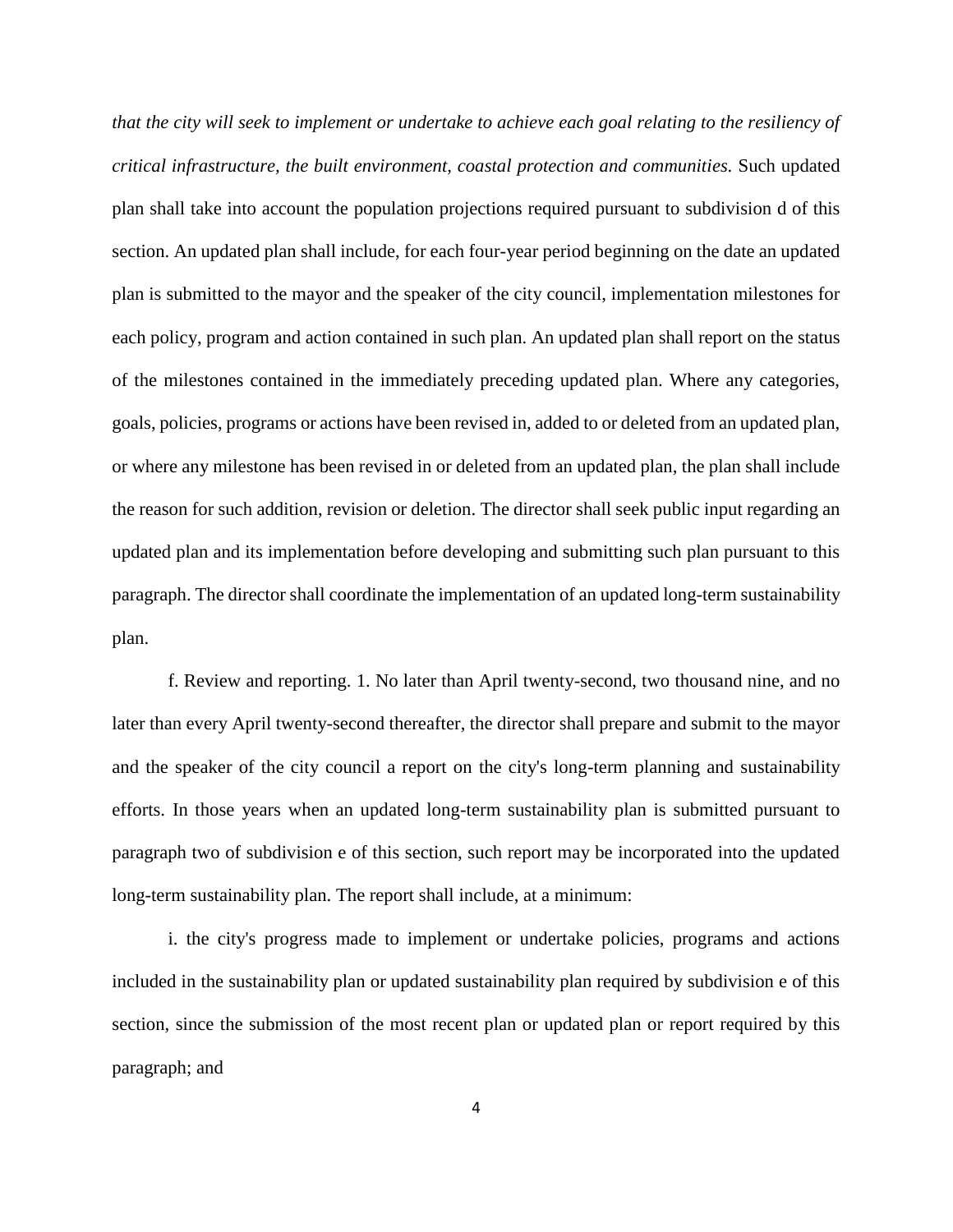*that the city will seek to implement or undertake to achieve each goal relating to the resiliency of critical infrastructure, the built environment, coastal protection and communities.* Such updated plan shall take into account the population projections required pursuant to subdivision d of this section. An updated plan shall include, for each four-year period beginning on the date an updated plan is submitted to the mayor and the speaker of the city council, implementation milestones for each policy, program and action contained in such plan. An updated plan shall report on the status of the milestones contained in the immediately preceding updated plan. Where any categories, goals, policies, programs or actions have been revised in, added to or deleted from an updated plan, or where any milestone has been revised in or deleted from an updated plan, the plan shall include the reason for such addition, revision or deletion. The director shall seek public input regarding an updated plan and its implementation before developing and submitting such plan pursuant to this paragraph. The director shall coordinate the implementation of an updated long-term sustainability plan.

f. Review and reporting. 1. No later than April twenty-second, two thousand nine, and no later than every April twenty-second thereafter, the director shall prepare and submit to the mayor and the speaker of the city council a report on the city's long-term planning and sustainability efforts. In those years when an updated long-term sustainability plan is submitted pursuant to paragraph two of subdivision e of this section, such report may be incorporated into the updated long-term sustainability plan. The report shall include, at a minimum:

i. the city's progress made to implement or undertake policies, programs and actions included in the sustainability plan or updated sustainability plan required by subdivision e of this section, since the submission of the most recent plan or updated plan or report required by this paragraph; and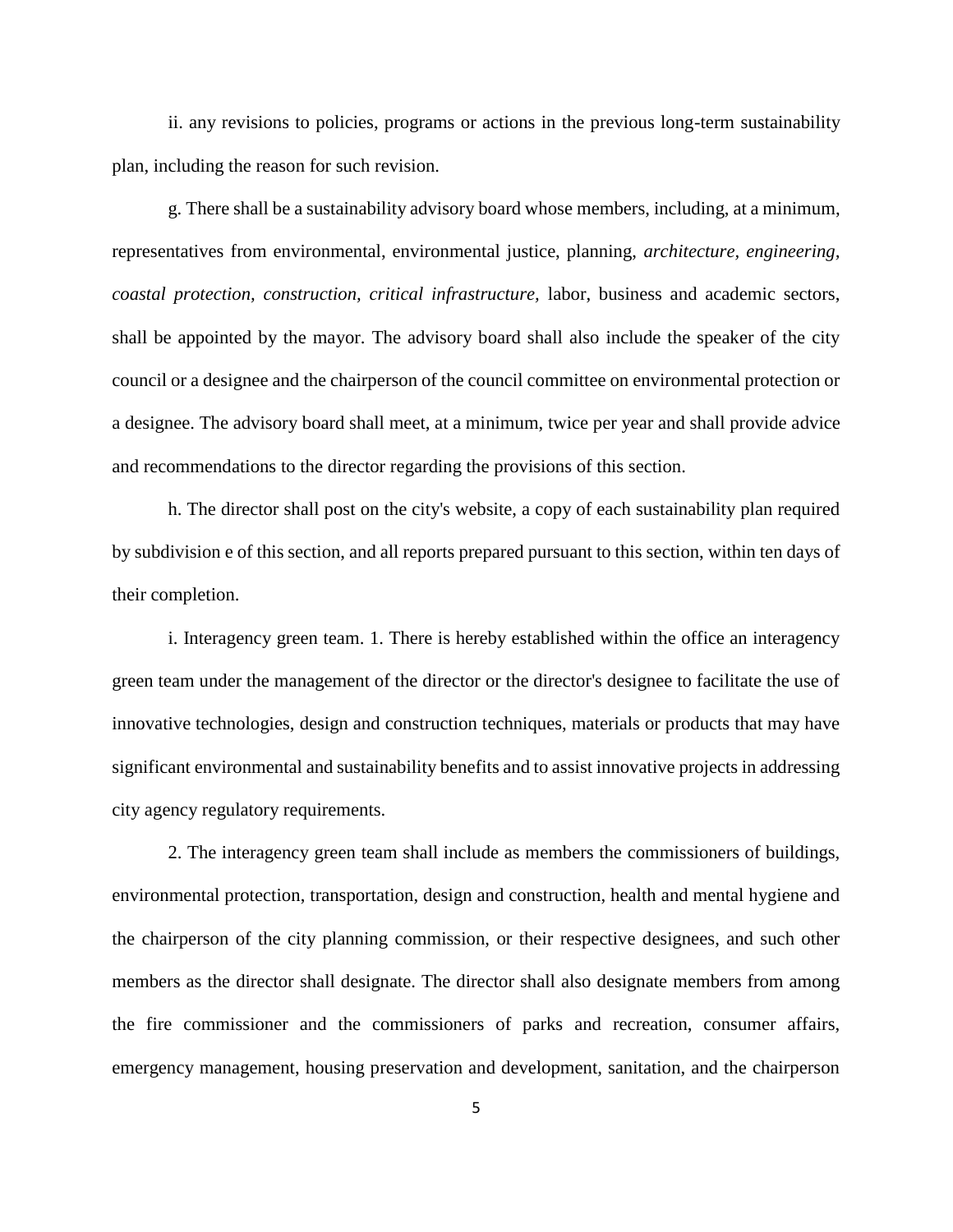ii. any revisions to policies, programs or actions in the previous long-term sustainability plan, including the reason for such revision.

g. There shall be a sustainability advisory board whose members, including, at a minimum, representatives from environmental, environmental justice, planning, *architecture, engineering, coastal protection, construction, critical infrastructure,* labor, business and academic sectors, shall be appointed by the mayor. The advisory board shall also include the speaker of the city council or a designee and the chairperson of the council committee on environmental protection or a designee. The advisory board shall meet, at a minimum, twice per year and shall provide advice and recommendations to the director regarding the provisions of this section.

h. The director shall post on the city's website, a copy of each sustainability plan required by subdivision e of this section, and all reports prepared pursuant to this section, within ten days of their completion.

i. Interagency green team. 1. There is hereby established within the office an interagency green team under the management of the director or the director's designee to facilitate the use of innovative technologies, design and construction techniques, materials or products that may have significant environmental and sustainability benefits and to assist innovative projects in addressing city agency regulatory requirements.

2. The interagency green team shall include as members the commissioners of buildings, environmental protection, transportation, design and construction, health and mental hygiene and the chairperson of the city planning commission, or their respective designees, and such other members as the director shall designate. The director shall also designate members from among the fire commissioner and the commissioners of parks and recreation, consumer affairs, emergency management, housing preservation and development, sanitation, and the chairperson